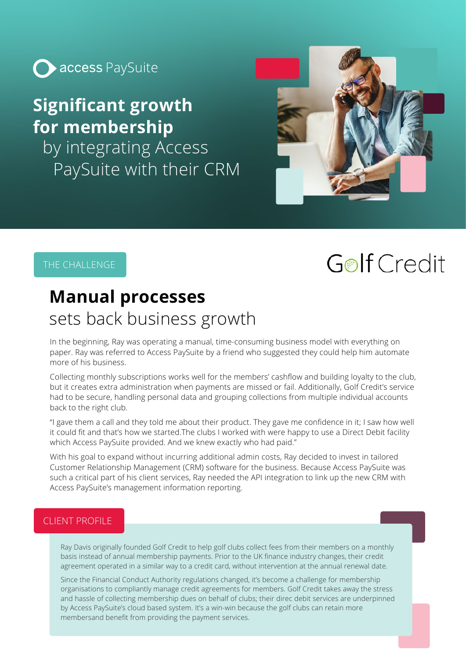

### **Significant growth for membership**

by integrating Access PaySuite with their CRM



### THE CHALLENGE

# **Golf Credit**

### **Manual processes** sets back business growth

In the beginning, Ray was operating a manual, time-consuming business model with everything on paper. Ray was referred to Access PaySuite by a friend who suggested they could help him automate more of his business.

Collecting monthly subscriptions works well for the members' cashflow and building loyalty to the club, but it creates extra administration when payments are missed or fail. Additionally, Golf Credit's service had to be secure, handling personal data and grouping collections from multiple individual accounts back to the right club.

"I gave them a call and they told me about their product. They gave me confidence in it; I saw how well it could fit and that's how we started.The clubs I worked with were happy to use a Direct Debit facility which Access PaySuite provided. And we knew exactly who had paid."

With his goal to expand without incurring additional admin costs, Ray decided to invest in tailored Customer Relationship Management (CRM) software for the business. Because Access PaySuite was such a critical part of his client services, Ray needed the API integration to link up the new CRM with Access PaySuite's management information reporting.

### CLIENT PROFILE

Ray Davis originally founded Golf Credit to help golf clubs collect fees from their members on a monthly basis instead of annual membership payments. Prior to the UK finance industry changes, their credit agreement operated in a similar way to a credit card, without intervention at the annual renewal date.

Since the Financial Conduct Authority regulations changed, it's become a challenge for membership organisations to compliantly manage credit agreements for members. Golf Credit takes away the stress and hassle of collecting membership dues on behalf of clubs; their direc debit services are underpinned by Access PaySuite's cloud based system. It's a win-win because the golf clubs can retain more membersand benefit from providing the payment services.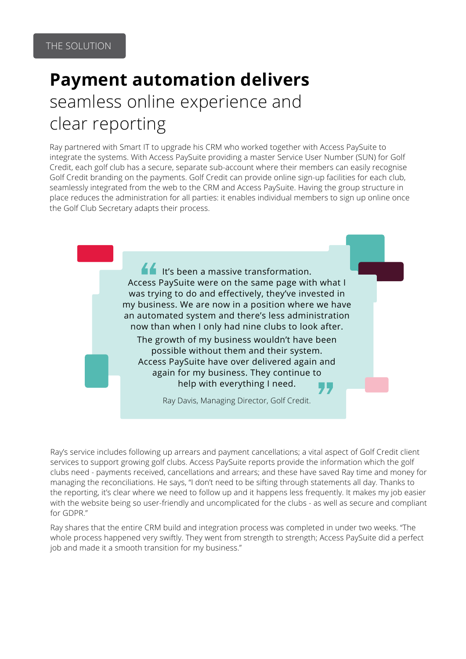# **Payment automation delivers** seamless online experience and clear reporting

Ray partnered with Smart IT to upgrade his CRM who worked together with Access PaySuite to integrate the systems. With Access PaySuite providing a master Service User Number (SUN) for Golf Credit, each golf club has a secure, separate sub-account where their members can easily recognise Golf Credit branding on the payments. Golf Credit can provide online sign-up facilities for each club, seamlessly integrated from the web to the CRM and Access PaySuite. Having the group structure in place reduces the administration for all parties: it enables individual members to sign up online once the Golf Club Secretary adapts their process.



Ray's service includes following up arrears and payment cancellations; a vital aspect of Golf Credit client services to support growing golf clubs. Access PaySuite reports provide the information which the golf clubs need - payments received, cancellations and arrears; and these have saved Ray time and money for managing the reconciliations. He says, "I don't need to be sifting through statements all day. Thanks to the reporting, it's clear where we need to follow up and it happens less frequently. It makes my job easier with the website being so user-friendly and uncomplicated for the clubs - as well as secure and compliant for GDPR."

Ray shares that the entire CRM build and integration process was completed in under two weeks. "The whole process happened very swiftly. They went from strength to strength; Access PaySuite did a perfect job and made it a smooth transition for my business."